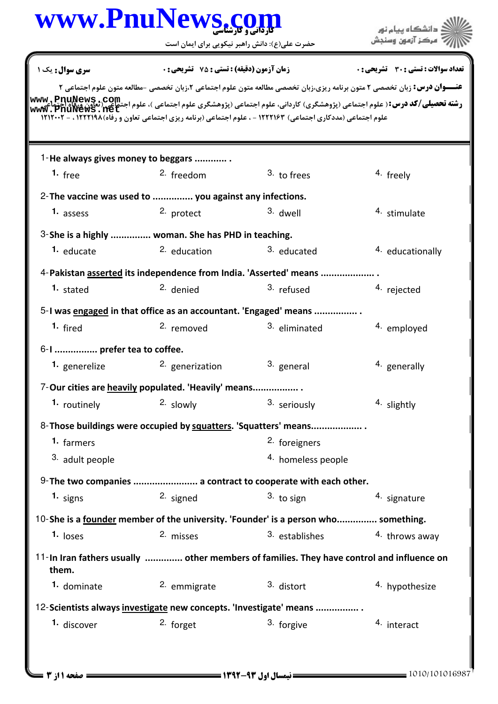|                            | www.PnuNews.co                                                                                                 |                    | دانشگاه پیام نور                                                                                                                                                                                                                       |
|----------------------------|----------------------------------------------------------------------------------------------------------------|--------------------|----------------------------------------------------------------------------------------------------------------------------------------------------------------------------------------------------------------------------------------|
|                            | حضرت علی(ع): دانش راهبر نیکویی برای ایمان است                                                                  | مركز آزمون وسنجش   |                                                                                                                                                                                                                                        |
| سری سوال: یک ۱             | زمان آزمون (دقیقه) : تستی : 75 ٪ تشریحی : 0                                                                    |                    | تعداد سوالات : تستي : 30 ٪ تشريحي : 0                                                                                                                                                                                                  |
|                            |                                                                                                                |                    | <b>عنـــوان درس:</b> زبان تخصصی ۲ متون برنامه ریزی،زبان تخصصی مطالعه متون علوم اجتماعی ۲،زبان تخصصی -مطالعه متون علوم اجتماعی ۲                                                                                                        |
|                            | علوم اجتماعی (مددکاری اجتماعی) ۱۲۲۲۱۶۳ - ، علوم اجتماعی (برنامه ریزی اجتماعی تعاون و رفاه) ۱۲۱۲۰۰۲ . - ۱۲۱۲۰۰۲ |                    | <b>رشته تحصیلی/کد درس:</b> ( علوم اجتماعی (پژوهشگری) کاردانی، علوم اجتماعی (پژوهشگری علوم اجتماعی )، علوم اجتجاعی جمهور<br>استفاقات الله الله الله علیه الله علیه الله علیه الله علیه الله علیه الله علیه الله علیه علیه الله علیه الل |
|                            | 1-He always gives money to beggars                                                                             |                    |                                                                                                                                                                                                                                        |
| 1. $free$                  | 2. freedom                                                                                                     | 3. to frees        | 4. freely                                                                                                                                                                                                                              |
|                            | 2- The vaccine was used to  you against any infections.                                                        |                    |                                                                                                                                                                                                                                        |
| 1. assess                  | 2. protect                                                                                                     | 3. dwell           | 4. stimulate                                                                                                                                                                                                                           |
|                            | 3-She is a highly  woman. She has PHD in teaching.                                                             |                    |                                                                                                                                                                                                                                        |
| <sup>1.</sup> educate      | 2. education                                                                                                   | 3. educated        | 4. educationally                                                                                                                                                                                                                       |
|                            | 4-Pakistan asserted its independence from India. 'Asserted' means                                              |                    |                                                                                                                                                                                                                                        |
| 1. stated                  | <sup>2.</sup> denied                                                                                           | 3. refused         | 4. rejected                                                                                                                                                                                                                            |
|                            | 5-I was engaged in that office as an accountant. 'Engaged' means                                               |                    |                                                                                                                                                                                                                                        |
| 1. fired                   | 2. removed                                                                                                     | 3. eliminated      | 4. employed                                                                                                                                                                                                                            |
| 6-1  prefer tea to coffee. |                                                                                                                |                    |                                                                                                                                                                                                                                        |
| 1. generelize              | <sup>2.</sup> generization                                                                                     | 3. general         | <sup>4.</sup> generally                                                                                                                                                                                                                |
|                            | 7-Our cities are heavily populated. 'Heavily' means                                                            |                    |                                                                                                                                                                                                                                        |
| 1. routinely               | 2. slowly                                                                                                      | 3. seriously       | 4. slightly                                                                                                                                                                                                                            |
|                            | 8-Those buildings were occupied by squatters. 'Squatters' means                                                |                    |                                                                                                                                                                                                                                        |
| 1. farmers                 |                                                                                                                | 2. foreigners      |                                                                                                                                                                                                                                        |
| <sup>3.</sup> adult people |                                                                                                                | 4. homeless people |                                                                                                                                                                                                                                        |
|                            | 9- The two companies  a contract to cooperate with each other.                                                 |                    |                                                                                                                                                                                                                                        |
| 1. signs                   | 2. signed                                                                                                      | $3.$ to sign       | 4. signature                                                                                                                                                                                                                           |
|                            | 10-She is a <u>founder</u> member of the university. 'Founder' is a person who something.                      |                    |                                                                                                                                                                                                                                        |
| 1. loses                   | 2. misses                                                                                                      | 3. establishes     | 4. throws away                                                                                                                                                                                                                         |
| them.                      | 11-In Iran fathers usually  other members of families. They have control and influence on                      |                    |                                                                                                                                                                                                                                        |
| 1. dominate                | 2. emmigrate                                                                                                   | 3. distort         | 4. hypothesize                                                                                                                                                                                                                         |
|                            | 12-Scientists always investigate new concepts. 'Investigate' means                                             |                    |                                                                                                                                                                                                                                        |
| 1. discover                | 2. forget                                                                                                      | 3. forgive         | 4. interact                                                                                                                                                                                                                            |
|                            |                                                                                                                |                    |                                                                                                                                                                                                                                        |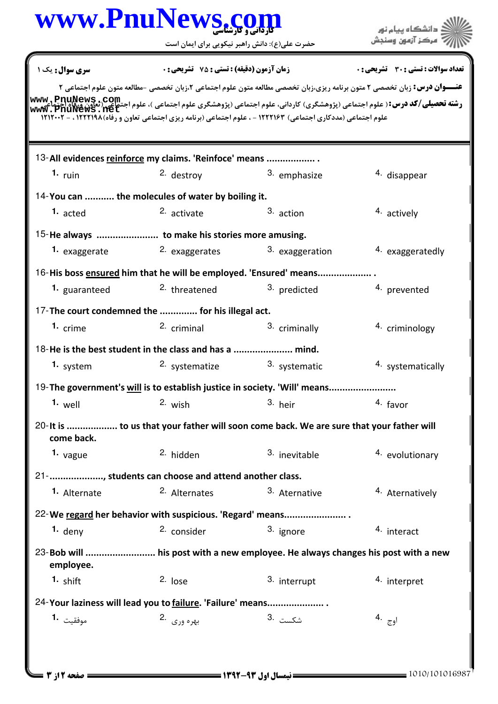|                 | www.PnuNews.com                                                   |                                                                                                                                                                                                                                             | دانشگاه بیام نور                             |
|-----------------|-------------------------------------------------------------------|---------------------------------------------------------------------------------------------------------------------------------------------------------------------------------------------------------------------------------------------|----------------------------------------------|
|                 | حضرت علی(ع): دانش راهبر نیکویی برای ایمان است                     |                                                                                                                                                                                                                                             | مركز آزمون وسنجش                             |
| سری سوال : یک ۱ | زمان آزمون (دقیقه) : تستی : 75 ٪ تشریحی : 0                       |                                                                                                                                                                                                                                             | <b>تعداد سوالات : تستی : 30 ٪ تشریحی : 0</b> |
|                 |                                                                   | <b>عنـــوان درس:</b> زبان تخصصی ۲ متون برنامه ریزی،زبان تخصصی مطالعه متون علوم اجتماعی ۲،زبان تخصصی -مطالعه متون علوم اجتماعی ۲                                                                                                             |                                              |
|                 |                                                                   | <b>رشته تحصیلی/کد درس:</b> ( علوم اجتماعی (پژوهشگری) کاردانی، علوم اجتماعی (پژوهشگری علوم اجتماعی )، علوم اجتماعی (تعاون ورقاه اجتماعی<br>ر <b>شته تحصیلی/کد درس:</b> ( علوم اجتماعی (پژوهشگری) کاردانی، علوم اجتماعی (پژوهشگری علوم اجتماع |                                              |
|                 |                                                                   | علوم اجتماعی (مددکاری اجتماعی) ۱۲۲۲۱۶۳ - ، علوم اجتماعی (برنامه ریزی اجتماعی تعاون و رفاه)۱۲۱۲۱۹۸ ، - ۱۲۱۲۰۰۲                                                                                                                               |                                              |
|                 | 13-All evidences reinforce my claims. 'Reinfoce' means            |                                                                                                                                                                                                                                             |                                              |
| 1. $run$        | 2. destroy                                                        | 3. emphasize                                                                                                                                                                                                                                | 4. disappear                                 |
|                 | 14-You can  the molecules of water by boiling it.                 |                                                                                                                                                                                                                                             |                                              |
| 1. acted        | 2. activate                                                       | 3. action                                                                                                                                                                                                                                   | 4. actively                                  |
|                 |                                                                   |                                                                                                                                                                                                                                             |                                              |
| 1. exaggerate   | 2. exaggerates                                                    | 3. exaggeration                                                                                                                                                                                                                             | 4. exaggeratedly                             |
|                 | 16-His boss ensured him that he will be employed. 'Ensured' means |                                                                                                                                                                                                                                             |                                              |
| 1. guaranteed   | <sup>2.</sup> threatened                                          | <sup>3.</sup> predicted                                                                                                                                                                                                                     | 4. prevented                                 |
|                 | 17-The court condemned the  for his illegal act.                  |                                                                                                                                                                                                                                             |                                              |
| $1.$ crime      | <sup>2.</sup> criminal                                            | 3. criminally                                                                                                                                                                                                                               | 4. criminology                               |
|                 | 18-He is the best student in the class and has a  mind.           |                                                                                                                                                                                                                                             |                                              |
| 1. system       | <sup>2.</sup> systematize                                         | 3. systematic                                                                                                                                                                                                                               | 4. systematically                            |
|                 |                                                                   | 19-The government's will is to establish justice in society. 'Will' means                                                                                                                                                                   |                                              |
| $1.$ well       | 2. wish                                                           | $3.$ heir                                                                                                                                                                                                                                   | 4. favor                                     |
| come back.      |                                                                   | 20- It is  to us that your father will soon come back. We are sure that your father will                                                                                                                                                    |                                              |
| 1. $v$ ague     | 2. hidden                                                         | 3. inevitable                                                                                                                                                                                                                               | 4. evolutionary                              |
|                 | 21- , students can choose and attend another class.               |                                                                                                                                                                                                                                             |                                              |
| 1. Alternate    | 2. Alternates                                                     | 3. Aternative                                                                                                                                                                                                                               | 4. Aternatively                              |
|                 |                                                                   | 22-We regard her behavior with suspicious. 'Regard' means                                                                                                                                                                                   |                                              |
| $1.$ deny       | 2. consider                                                       | 3. ignore                                                                                                                                                                                                                                   | 4. interact                                  |
| employee.       |                                                                   | 23-Bob will  his post with a new employee. He always changes his post with a new                                                                                                                                                            |                                              |
| 1. shift        | $2.$ lose                                                         | 3. interrupt                                                                                                                                                                                                                                | 4. interpret                                 |
|                 | 24-Your laziness will lead you to failure. 'Failure' means        |                                                                                                                                                                                                                                             |                                              |
| موفقيت 1.       | بهره وري 2.                                                       | شكس <i>ت</i> .3                                                                                                                                                                                                                             | $4.$ اوج                                     |